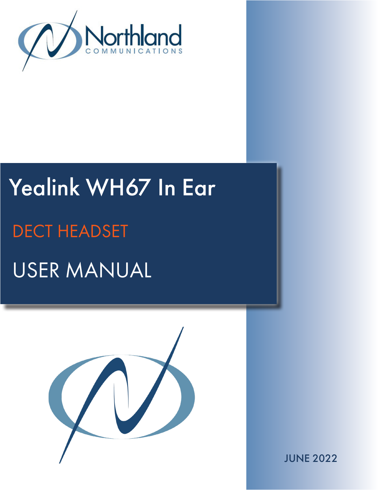

# Yealink WH67 In Ear USER MANUAL DECT HEADSET



JUNE 2022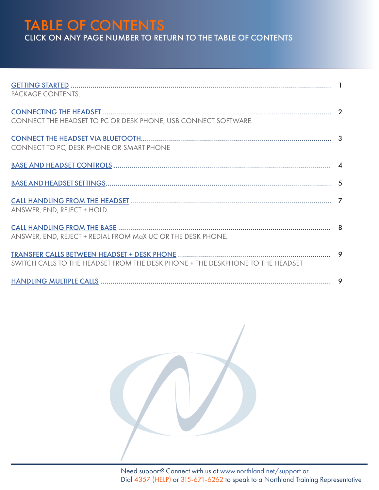## TABLE OF CONTENTS CLICK ON ANY PAGE NUMBER TO RETURN TO THE TABLE OF CONTENTS

| PACKAGE CONTENTS.                                                              |  |
|--------------------------------------------------------------------------------|--|
| CONNECT THE HEADSET TO PC OR DESK PHONE, USB CONNECT SOFTWARE.                 |  |
| CONNECT TO PC, DESK PHONE OR SMART PHONE                                       |  |
|                                                                                |  |
|                                                                                |  |
| ANSWER, END, REJECT + HOLD.                                                    |  |
| ANSWER, END, REJECT + REDIAL FROM MaX UC OR THE DESK PHONE.                    |  |
| SWITCH CALLS TO THE HEADSET FROM THE DESK PHONE + THE DESKPHONE TO THE HEADSET |  |
|                                                                                |  |

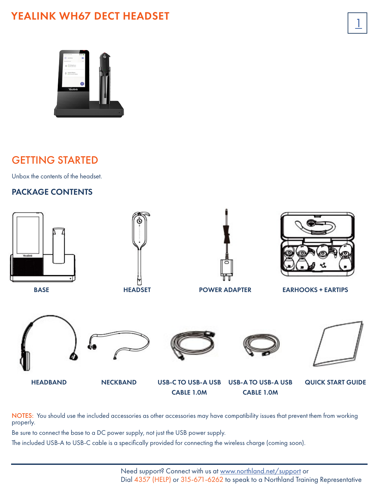## YEALINK WH67 DECT HEADSET



## <span id="page-2-0"></span>GETTING STARTED

Unbox the contents of the headset.

## PACKAGE CONTENTS



NOTES: You should use the included accessories as other accessories may have compatibility issues that prevent them from working properly.

Be sure to connect the base to a DC power supply, not just the USB power supply.

The included USB-A to USB-C cable is a specifically provided for connecting the wireless charge (coming soon).

 $\overline{1}$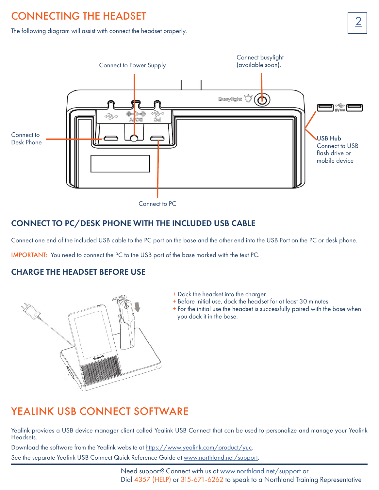## <span id="page-3-0"></span>CONNECTING THE HEADSET **CONNECTING**

The following diagram will assist with connect the headset properly.



Connect to PC

## CONNECT TO PC/DESK PHONE WITH THE INCLUDED USB CABLE

Connect one end of the included USB cable to the PC port on the base and the other end into the USB Port on the PC or desk phone.

IMPORTANT: You need to connect the PC to the USB port of the base marked with the text PC.

#### CHARGE THE HEADSET BEFORE USE



- + Dock the headset into the charger.
- + Before initial use, dock the headset for at least 30 minutes.
- + For the initial use the headset is successfully paired with the base when you dock it in the base.

## YEALINK USB CONNECT SOFTWARE

Yealink provides a USB device manager client called Yealink USB Connect that can be used to personalize and manage your Yealink Headsets.

Download the software from the Yealink website at [https://www.yealink.com/product/yuc.](https://www.yealink.com/product/yuc)

See the separate Yealink USB Connect Quick Reference Guide at [www.northland.net/support](http://www.northland.net/support).

Need support? Connect with us at [www.northland.net/support](http://northland.net/support) or Dial 4357 (HELP) or 315-671-6262 to speak to a Northland Training Representative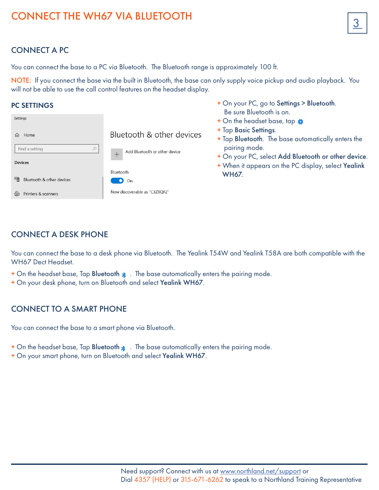# <span id="page-4-0"></span>CONNECT THE WH67 VIA BLUETOOTH

## CONNECT A PC

You can connect the base to a PC via Bluetooth. The Bluetooth range is approximately 100 ft.

NOTE: If you connect the base via the built in Bluetooth, the base can only supply voice pickup and audio playback. You will not be able to use the call control features on the headset display.

+ On your PC, go to Settings > Bluetooth.

#### PC SETTINGS

|                                 |                               | Be sure Bluetooth is on.                                                                                                                            |
|---------------------------------|-------------------------------|-----------------------------------------------------------------------------------------------------------------------------------------------------|
| Settings                        |                               | + On the headset base, tap $\bigoplus$                                                                                                              |
| Home<br>$\bigcap$               | Bluetooth & other devices     | + Tap Basic Settings.<br>+ Tap Bluetooth. The base automatically enters the<br>pairing mode.<br>+ On your PC, select Add Bluetooth or other device. |
| Find a setting                  | Add Bluetooth or other device |                                                                                                                                                     |
| <b>Devices</b>                  |                               | + When it appears on the PC display, select Yealink                                                                                                 |
|                                 | Bluetooth                     | <b>WH67.</b>                                                                                                                                        |
| Bluetooth & other devices<br>一回 | On<br>$\bullet$               |                                                                                                                                                     |
| Printers & scanners<br>曲        | Now discoverable as "C3ZXQF2" |                                                                                                                                                     |

## CONNECT A DESK PHONE

You can connect the base to a desk phone via Bluetooth. The Yealink T54W and Yealink T58A are both compatible with the WH67 Dect Headset.

- $+$  On the headset base, Tap Bluetooth  $*$ . The base automatically enters the pairing mode.
- + On your desk phone, turn on Bluetooth and select Yealink WH67.

#### CONNECT TO A SMART PHONE

You can connect the base to a smart phone via Bluetooth.

- $+$  On the headset base, Tap Bluetooth  $\ast$ . The base automatically enters the pairing mode.
- + On your smart phone, turn on Bluetooth and select Yealink WH67.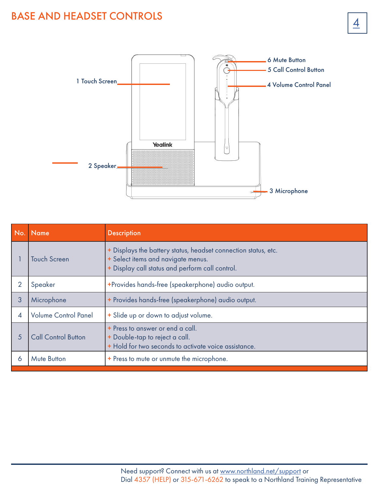## <span id="page-5-0"></span>**BASE AND HEADSET CONTROLS**



| No.            | <b>Name</b>                 | <b>Description</b>                                                                                                                                      |
|----------------|-----------------------------|---------------------------------------------------------------------------------------------------------------------------------------------------------|
|                | Touch Screen                | + Displays the battery status, headset connection status, etc.<br>+ Select items and navigate menus.<br>+ Display call status and perform call control. |
| 2              | Speaker                     | +Provides hands-free (speakerphone) audio output.                                                                                                       |
| 3              | Microphone                  | + Provides hands-free (speakerphone) audio output.                                                                                                      |
| $\overline{4}$ | <b>Volume Control Panel</b> | + Slide up or down to adjust volume.                                                                                                                    |
| 5              | <b>Call Control Button</b>  | + Press to answer or end a call.<br>+ Double-tap to reject a call.<br>+ Hold for two seconds to activate voice assistance.                              |
| 6              | <b>Mute Button</b>          | + Press to mute or unmute the microphone.                                                                                                               |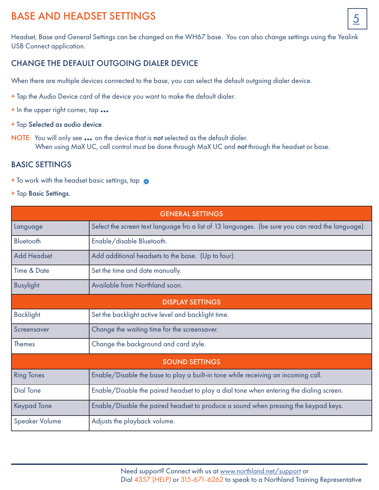## BASE AND HEADSET SETTINGS

Headset, Base and General Settings can be changed on the WH67 base. You can also change settings using the Yealink USB Connect application.

## CHANGE THE DEFAULT OUTGOING DIALER DEVICE

When there are multiple devices connected to the base, you can select the default outgoing dialer device.

- + Tap the Audio Device card of the device you want to make the default dialer.
- <sup>+</sup> In the upper right corner, tap ...
- + Tap Selected as audio device.
- NOTE: You will only see ... on the device that is *not* selected as the default dialer. When using MaX UC, call control must be done through MaX UC and *not* through the headset or base.

#### BASIC SETTINGS

- + To work with the headset basic settings, tap
- + Tap Basic Settings.

| <b>GENERAL SETTINGS</b> |                                                                                                  |  |  |  |
|-------------------------|--------------------------------------------------------------------------------------------------|--|--|--|
| Language                | Select the screen text language fro a list of 13 languages. (be sure you can read the language). |  |  |  |
| Bluetooth               | Enable/disable Bluetooth.                                                                        |  |  |  |
| <b>Add Headset</b>      | Add additional headsets to the base. (Up to four).                                               |  |  |  |
| Time & Date             | Set the time and date manually.                                                                  |  |  |  |
| <b>Busylight</b>        | Available from Northland soon.                                                                   |  |  |  |
| <b>DISPLAY SETTINGS</b> |                                                                                                  |  |  |  |
| <b>Backlight</b>        | Set the backlight active level and backlight time.                                               |  |  |  |
| Screensaver             | Change the waiting time for the screensaver.                                                     |  |  |  |
| <b>Themes</b>           | Change the background and card style.                                                            |  |  |  |
| <b>SOUND SETTINGS</b>   |                                                                                                  |  |  |  |
| <b>Ring Tones</b>       | Enable/Disable the base to play a built-in tone while receiving an incoming call.                |  |  |  |
| Dial Tone               | Enable/Disable the paired headset to play a dial tone when entering the dialing screen.          |  |  |  |
| <b>Keypad Tone</b>      | Enable/Disable the paired headset to produce a sound when pressing the keypad keys.              |  |  |  |
| <b>Speaker Volume</b>   | Adjusts the playback volume.                                                                     |  |  |  |

5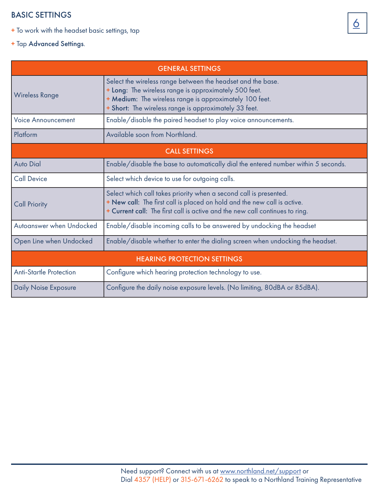#### BASIC SETTINGS

- + To work with the headset basic settings, tap
- + Tap Advanced Settings.

| <b>GENERAL SETTINGS</b>            |                                                                                                                                                                                                                                          |  |  |  |
|------------------------------------|------------------------------------------------------------------------------------------------------------------------------------------------------------------------------------------------------------------------------------------|--|--|--|
| <b>Wireless Range</b>              | Select the wireless range between the headset and the base.<br>+ Long: The wireless range is approximately 500 feet.<br>+ Medium: The wireless range is approximately 100 feet.<br>+ Short: The wireless range is approximately 33 feet. |  |  |  |
| <b>Voice Announcement</b>          | Enable/disable the paired headset to play voice announcements.                                                                                                                                                                           |  |  |  |
| Platform                           | Available soon from Northland.                                                                                                                                                                                                           |  |  |  |
| <b>CALL SETTINGS</b>               |                                                                                                                                                                                                                                          |  |  |  |
| <b>Auto Dial</b>                   | Enable/disable the base to automatically dial the entered number within 5 seconds.                                                                                                                                                       |  |  |  |
| <b>Call Device</b>                 | Select which device to use for outgoing calls.                                                                                                                                                                                           |  |  |  |
| <b>Call Priority</b>               | Select which call takes priority when a second call is presented.<br>+ New call: The first call is placed on hold and the new call is active.<br>+ Current call: The first call is active and the new call continues to ring.            |  |  |  |
| Autoanswer when Undocked           | Enable/disable incoming calls to be answered by undocking the headset                                                                                                                                                                    |  |  |  |
| Open Line when Undocked            | Enable/disable whether to enter the dialing screen when undocking the headset.                                                                                                                                                           |  |  |  |
| <b>HEARING PROTECTION SETTINGS</b> |                                                                                                                                                                                                                                          |  |  |  |
| <b>Anti-Startle Protection</b>     | Configure which hearing protection technology to use.                                                                                                                                                                                    |  |  |  |
| <b>Daily Noise Exposure</b>        | Configure the daily noise exposure levels. (No limiting, 80dBA or 85dBA).                                                                                                                                                                |  |  |  |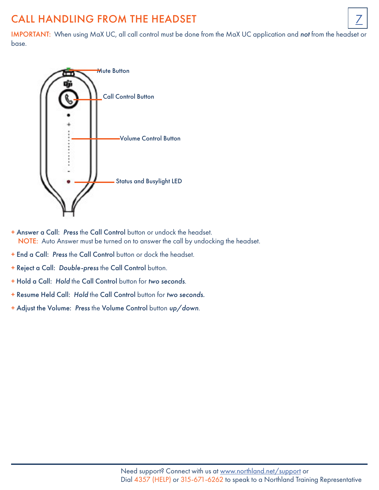## <span id="page-8-0"></span>CALL HANDLING FROM THE HEADSET

IMPORTANT: When using MaX UC, all call control must be done from the MaX UC application and *not* from the headset or base.



- + Answer a Call: *Press* the Call Control button or undock the headset. NOTE: Auto Answer must be turned on to answer the call by undocking the headset.
- + End a Call: *Press* the Call Control button or dock the headset.
- + Reject a Call: *Double-press* the Call Control button.
- + Hold a Call: *Hold* the Call Control button for *two seconds*.
- + Resume Held Call: *Hold* the Call Control button for *two seconds.*
- + Adjust the Volume: *Press* the Volume Control button *up/down*.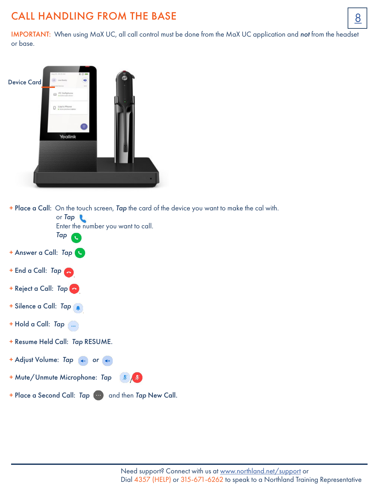## <span id="page-9-0"></span>CALL HANDLING FROM THE BASE  $\boxed{8}$

IMPORTANT: When using MaX UC, all call control must be done from the MaX UC application and *not* from the headset or base.



+ Place a Call: On the touch screen, *Tap* the card of the device you want to make the cal with.